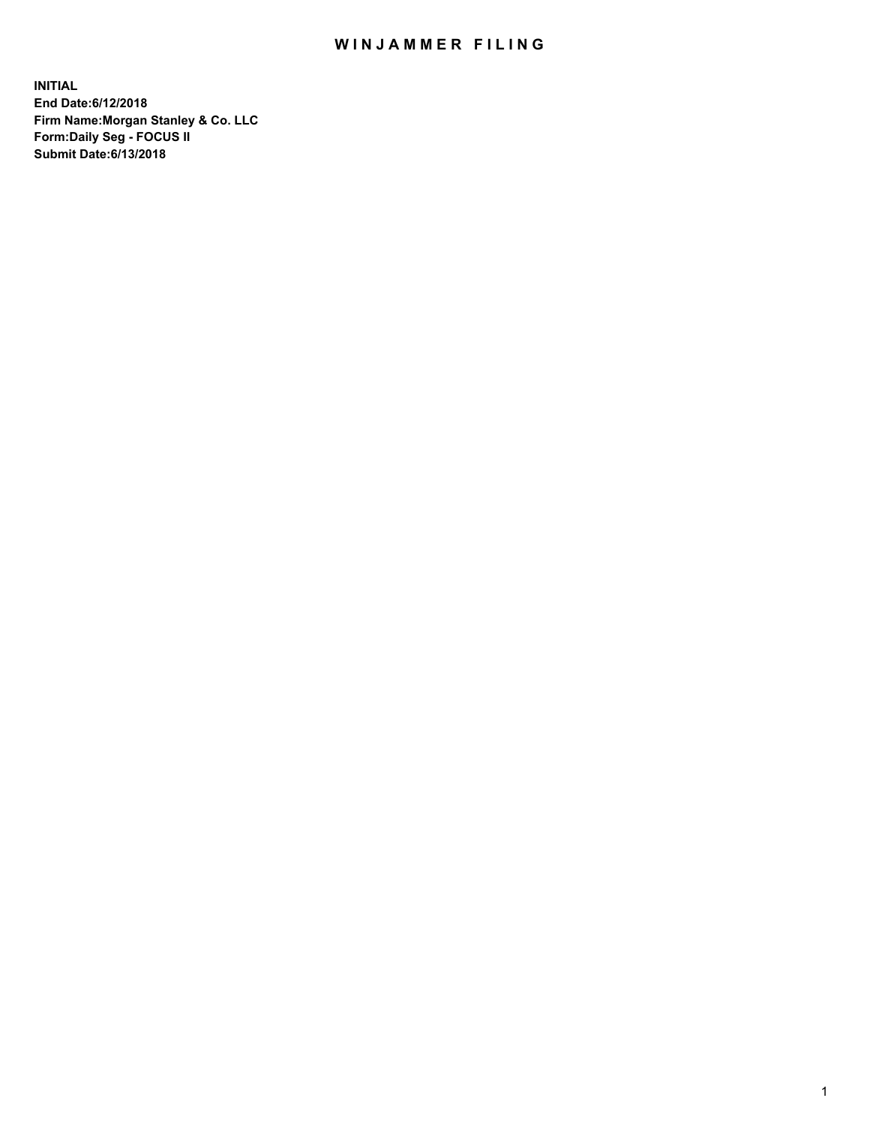## WIN JAMMER FILING

**INITIAL End Date:6/12/2018 Firm Name:Morgan Stanley & Co. LLC Form:Daily Seg - FOCUS II Submit Date:6/13/2018**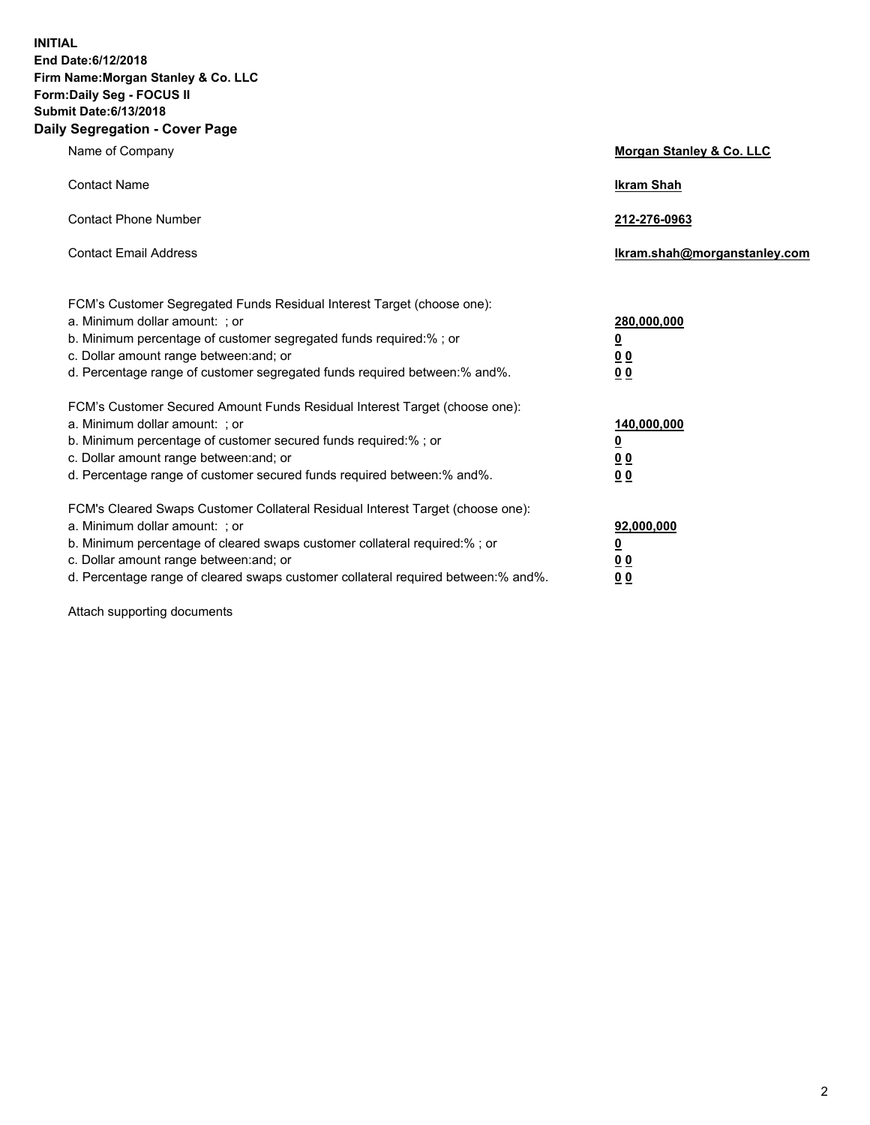**INITIAL End Date:6/12/2018 Firm Name:Morgan Stanley & Co. LLC Form:Daily Seg - FOCUS II Submit Date:6/13/2018 Daily Segregation - Cover Page**

| Name of Company                                                                                                                                                                                                                                                                                                                | Morgan Stanley & Co. LLC                               |
|--------------------------------------------------------------------------------------------------------------------------------------------------------------------------------------------------------------------------------------------------------------------------------------------------------------------------------|--------------------------------------------------------|
| <b>Contact Name</b>                                                                                                                                                                                                                                                                                                            | <b>Ikram Shah</b>                                      |
| <b>Contact Phone Number</b>                                                                                                                                                                                                                                                                                                    | 212-276-0963                                           |
| <b>Contact Email Address</b>                                                                                                                                                                                                                                                                                                   | lkram.shah@morganstanley.com                           |
| FCM's Customer Segregated Funds Residual Interest Target (choose one):<br>a. Minimum dollar amount: ; or<br>b. Minimum percentage of customer segregated funds required:% ; or<br>c. Dollar amount range between: and; or<br>d. Percentage range of customer segregated funds required between:% and%.                         | 280,000,000<br><u>0</u><br><u>0 0</u><br>0 Q           |
| FCM's Customer Secured Amount Funds Residual Interest Target (choose one):<br>a. Minimum dollar amount: ; or<br>b. Minimum percentage of customer secured funds required:%; or<br>c. Dollar amount range between: and; or<br>d. Percentage range of customer secured funds required between:% and%.                            | 140,000,000<br><u>0</u><br><u>00</u><br>0 <sub>0</sub> |
| FCM's Cleared Swaps Customer Collateral Residual Interest Target (choose one):<br>a. Minimum dollar amount: ; or<br>b. Minimum percentage of cleared swaps customer collateral required:% ; or<br>c. Dollar amount range between: and; or<br>d. Percentage range of cleared swaps customer collateral required between:% and%. | 92,000,000<br><u>0</u><br><u>00</u><br>0 <sup>0</sup>  |

Attach supporting documents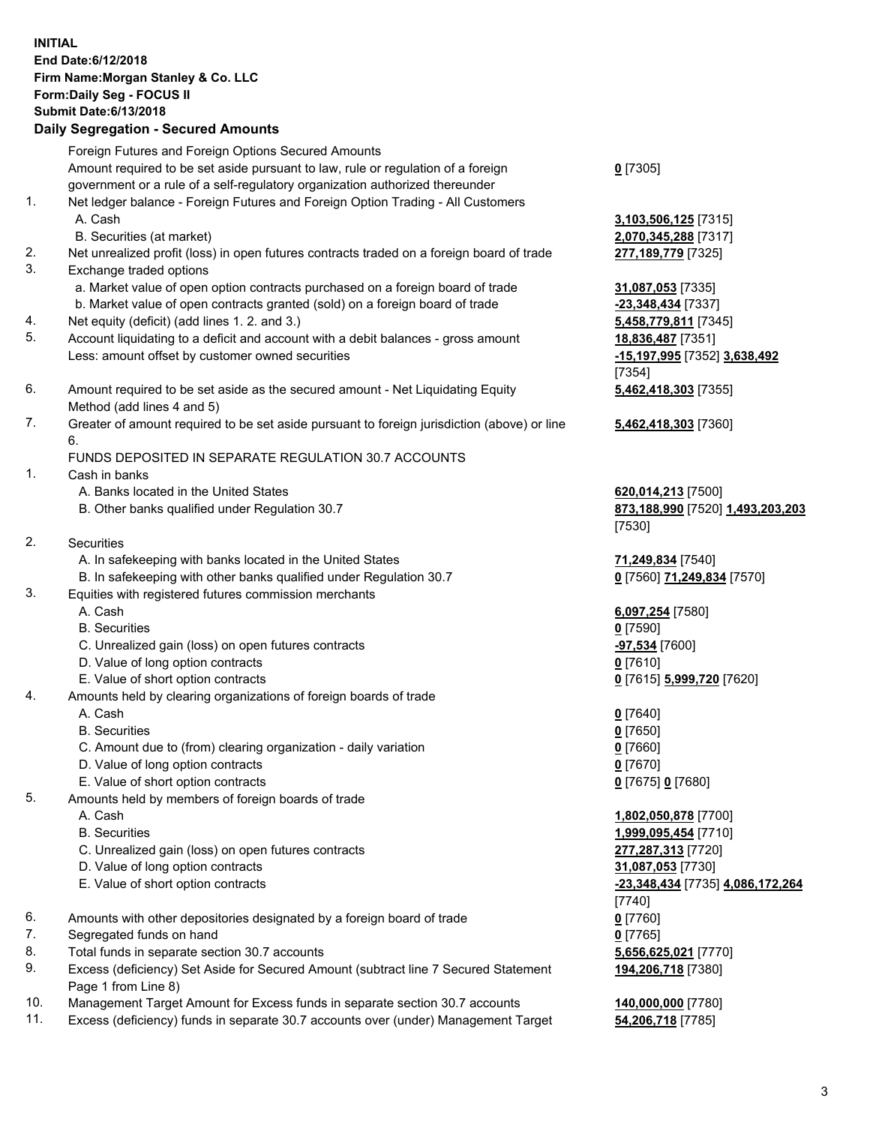## **INITIAL End Date:6/12/2018 Firm Name:Morgan Stanley & Co. LLC Form:Daily Seg - FOCUS II Submit Date:6/13/2018 Daily Segregation - Secured Amounts**

Foreign Futures and Foreign Options Secured Amounts Amount required to be set aside pursuant to law, rule or regulation of a foreign government or a rule of a self-regulatory organization authorized thereunder 1. Net ledger balance - Foreign Futures and Foreign Option Trading - All Customers A. Cash **3,103,506,125** [7315] B. Securities (at market) **2,070,345,288** [7317] 2. Net unrealized profit (loss) in open futures contracts traded on a foreign board of trade **277,189,779** [7325] 3. Exchange traded options a. Market value of open option contracts purchased on a foreign board of trade **31,087,053** [7335] b. Market value of open contracts granted (sold) on a foreign board of trade **-23,348,434** [7337] 4. Net equity (deficit) (add lines 1. 2. and 3.) **5,458,779,811** [7345] 5. Account liquidating to a deficit and account with a debit balances - gross amount **18,836,487** [7351] Less: amount offset by customer owned securities **-15,197,995** [7352] **3,638,492** 6. Amount required to be set aside as the secured amount - Net Liquidating Equity Method (add lines 4 and 5) 7. Greater of amount required to be set aside pursuant to foreign jurisdiction (above) or line 6. FUNDS DEPOSITED IN SEPARATE REGULATION 30.7 ACCOUNTS 1. Cash in banks A. Banks located in the United States **620,014,213** [7500] B. Other banks qualified under Regulation 30.7 **873,188,990** [7520] **1,493,203,203** 2. Securities A. In safekeeping with banks located in the United States **71,249,834** [7540] B. In safekeeping with other banks qualified under Regulation 30.7 **0** [7560] **71,249,834** [7570] 3. Equities with registered futures commission merchants A. Cash **6,097,254** [7580] B. Securities **0** [7590]

- C. Unrealized gain (loss) on open futures contracts **-97,534** [7600]
- D. Value of long option contracts **0** [7610]
- E. Value of short option contracts **0** [7615] **5,999,720** [7620]
- 4. Amounts held by clearing organizations of foreign boards of trade
	- A. Cash **0** [7640]
	- B. Securities **0** [7650]
	- C. Amount due to (from) clearing organization daily variation **0** [7660]
	- D. Value of long option contracts **0** [7670]
	- E. Value of short option contracts **0** [7675] **0** [7680]
- 5. Amounts held by members of foreign boards of trade
	-
	-
	- C. Unrealized gain (loss) on open futures contracts **277,287,313** [7720]
	- D. Value of long option contracts **31,087,053** [7730]
	- E. Value of short option contracts **-23,348,434** [7735] **4,086,172,264**
- 6. Amounts with other depositories designated by a foreign board of trade **0** [7760]
- 7. Segregated funds on hand **0** [7765]
- 8. Total funds in separate section 30.7 accounts **5,656,625,021** [7770]
- 9. Excess (deficiency) Set Aside for Secured Amount (subtract line 7 Secured Statement Page 1 from Line 8)
- 10. Management Target Amount for Excess funds in separate section 30.7 accounts **140,000,000** [7780]
- 11. Excess (deficiency) funds in separate 30.7 accounts over (under) Management Target **54,206,718** [7785]

**0** [7305]

[7354] **5,462,418,303** [7355]

**5,462,418,303** [7360]

[7530]

 A. Cash **1,802,050,878** [7700] B. Securities **1,999,095,454** [7710] [7740] **194,206,718** [7380]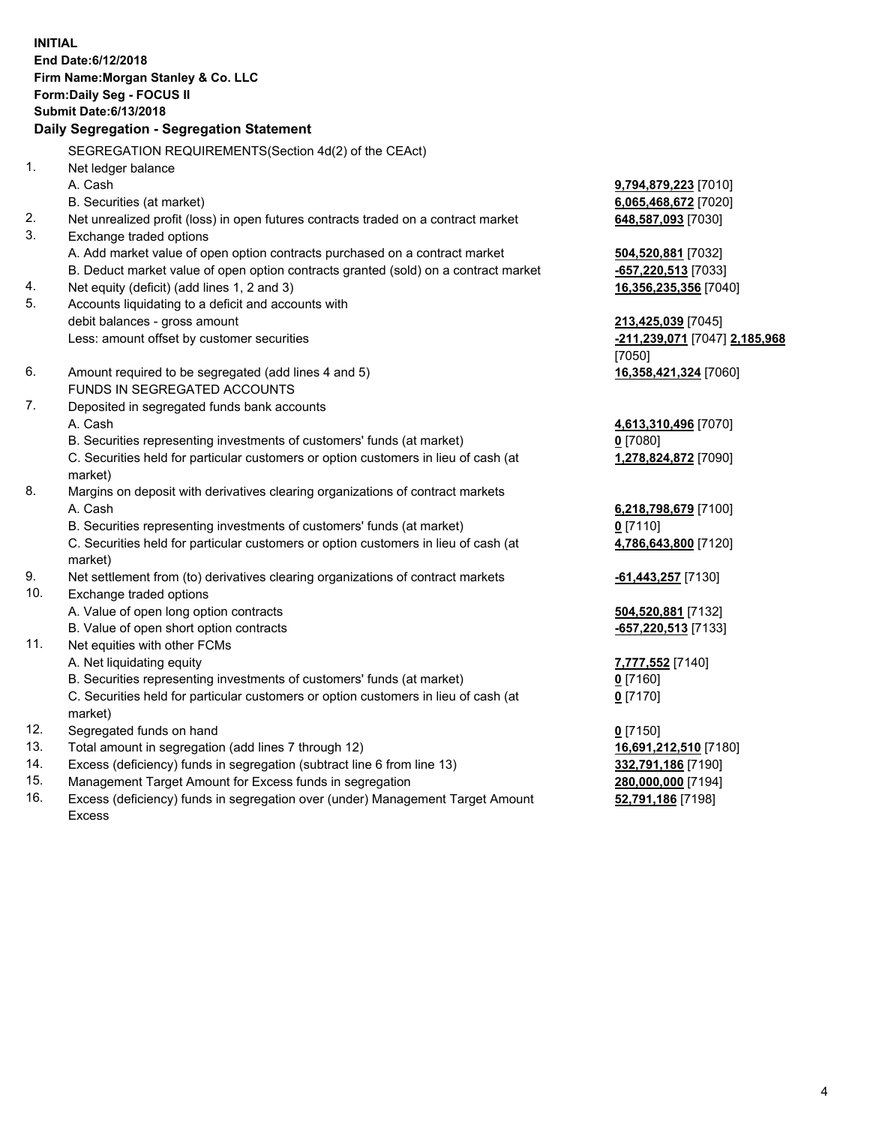**INITIAL End Date:6/12/2018 Firm Name:Morgan Stanley & Co. LLC Form:Daily Seg - FOCUS II Submit Date:6/13/2018 Daily Segregation - Segregation Statement** SEGREGATION REQUIREMENTS(Section 4d(2) of the CEAct) 1. Net ledger balance A. Cash **9,794,879,223** [7010] B. Securities (at market) **6,065,468,672** [7020] 2. Net unrealized profit (loss) in open futures contracts traded on a contract market **648,587,093** [7030] 3. Exchange traded options A. Add market value of open option contracts purchased on a contract market **504,520,881** [7032] B. Deduct market value of open option contracts granted (sold) on a contract market **-657,220,513** [7033] 4. Net equity (deficit) (add lines 1, 2 and 3) **16,356,235,356** [7040] 5. Accounts liquidating to a deficit and accounts with debit balances - gross amount **213,425,039** [7045] Less: amount offset by customer securities **-211,239,071** [7047] **2,185,968** [7050] 6. Amount required to be segregated (add lines 4 and 5) **16,358,421,324** [7060] FUNDS IN SEGREGATED ACCOUNTS 7. Deposited in segregated funds bank accounts A. Cash **4,613,310,496** [7070] B. Securities representing investments of customers' funds (at market) **0** [7080] C. Securities held for particular customers or option customers in lieu of cash (at market) **1,278,824,872** [7090] 8. Margins on deposit with derivatives clearing organizations of contract markets A. Cash **6,218,798,679** [7100] B. Securities representing investments of customers' funds (at market) **0** [7110] C. Securities held for particular customers or option customers in lieu of cash (at market) **4,786,643,800** [7120] 9. Net settlement from (to) derivatives clearing organizations of contract markets **-61,443,257** [7130] 10. Exchange traded options A. Value of open long option contracts **504,520,881** [7132] B. Value of open short option contracts **-657,220,513** [7133] 11. Net equities with other FCMs A. Net liquidating equity **7,777,552** [7140] B. Securities representing investments of customers' funds (at market) **0** [7160] C. Securities held for particular customers or option customers in lieu of cash (at market) **0** [7170] 12. Segregated funds on hand **0** [7150] 13. Total amount in segregation (add lines 7 through 12) **16,691,212,510** [7180] 14. Excess (deficiency) funds in segregation (subtract line 6 from line 13) **332,791,186** [7190]

- 15. Management Target Amount for Excess funds in segregation **280,000,000** [7194]
- 16. Excess (deficiency) funds in segregation over (under) Management Target Amount Excess

**52,791,186** [7198]